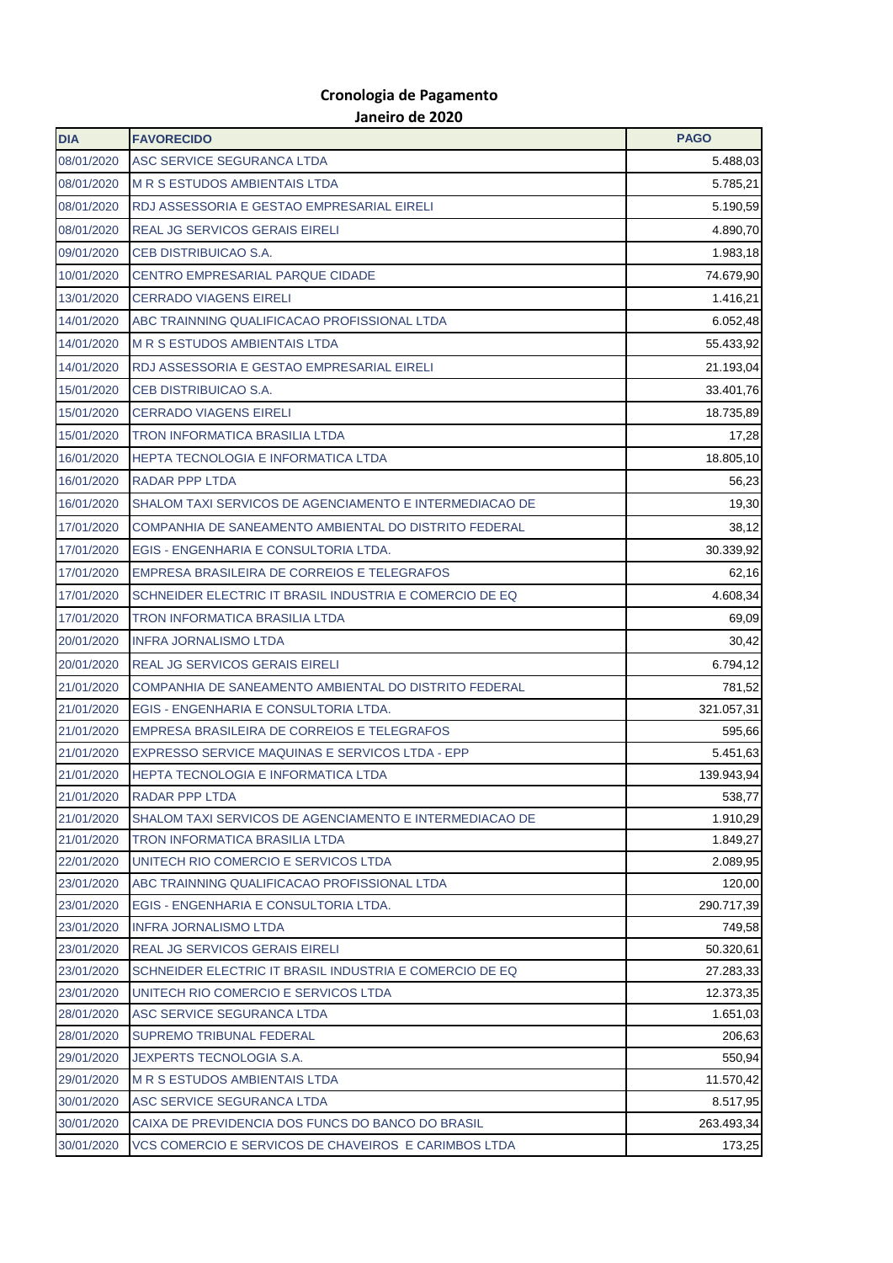## **Cronologia de Pagamento Janeiro de 2020**

| <b>DIA</b>               | <b>FAVORECIDO</b>                                                  | <b>PAGO</b>            |
|--------------------------|--------------------------------------------------------------------|------------------------|
| 08/01/2020               | ASC SERVICE SEGURANCA LTDA                                         | 5.488,03               |
| 08/01/2020               | <b>M R S ESTUDOS AMBIENTAIS LTDA</b>                               | 5.785,21               |
| 08/01/2020               | RDJ ASSESSORIA E GESTAO EMPRESARIAL EIRELI                         | 5.190,59               |
| 08/01/2020               | <b>REAL JG SERVICOS GERAIS EIRELI</b>                              | 4.890,70               |
| 09/01/2020               | CEB DISTRIBUICAO S.A.                                              | 1.983,18               |
| 10/01/2020               | CENTRO EMPRESARIAL PARQUE CIDADE                                   | 74.679,90              |
| 13/01/2020               | <b>CERRADO VIAGENS EIRELI</b>                                      | 1.416,21               |
| 14/01/2020               | ABC TRAINNING QUALIFICACAO PROFISSIONAL LTDA                       | 6.052,48               |
| 14/01/2020               | <b>M R S ESTUDOS AMBIENTAIS LTDA</b>                               | 55.433,92              |
| 14/01/2020               | RDJ ASSESSORIA E GESTAO EMPRESARIAL EIRELI                         | 21.193,04              |
| 15/01/2020               | CEB DISTRIBUICAO S.A.                                              | 33.401,76              |
| 15/01/2020               | <b>CERRADO VIAGENS EIRELI</b>                                      | 18.735,89              |
| 15/01/2020               | <b>TRON INFORMATICA BRASILIA LTDA</b>                              | 17,28                  |
| 16/01/2020               | <b>HEPTA TECNOLOGIA E INFORMATICA LTDA</b>                         | 18.805,10              |
| 16/01/2020               | <b>RADAR PPP LTDA</b>                                              | 56,23                  |
| 16/01/2020               | SHALOM TAXI SERVICOS DE AGENCIAMENTO E INTERMEDIACAO DE            | 19,30                  |
| 17/01/2020               | COMPANHIA DE SANEAMENTO AMBIENTAL DO DISTRITO FEDERAL              | 38,12                  |
| 17/01/2020               | EGIS - ENGENHARIA E CONSULTORIA LTDA.                              | 30.339,92              |
| 17/01/2020               | <b>EMPRESA BRASILEIRA DE CORREIOS E TELEGRAFOS</b>                 | 62,16                  |
| 17/01/2020               | SCHNEIDER ELECTRIC IT BRASIL INDUSTRIA E COMERCIO DE EQ            | 4.608,34               |
| 17/01/2020               | <b>TRON INFORMATICA BRASILIA LTDA</b>                              | 69,09                  |
| 20/01/2020               | <b>INFRA JORNALISMO LTDA</b>                                       | 30,42                  |
| 20/01/2020               | <b>REAL JG SERVICOS GERAIS EIRELI</b>                              | 6.794,12               |
| 21/01/2020               | COMPANHIA DE SANEAMENTO AMBIENTAL DO DISTRITO FEDERAL              | 781,52                 |
| 21/01/2020               | EGIS - ENGENHARIA E CONSULTORIA LTDA.                              | 321.057,31             |
| 21/01/2020               | EMPRESA BRASILEIRA DE CORREIOS E TELEGRAFOS                        | 595,66                 |
| 21/01/2020               | EXPRESSO SERVICE MAQUINAS E SERVICOS LTDA - EPP                    | 5.451,63               |
| 21/01/2020               | HEPTA TECNOLOGIA E INFORMATICA LTDA                                | 139.943,94             |
| 21/01/2020               | RADAR PPP LTDA                                                     | 538,77                 |
| 21/01/2020               | SHALOM TAXI SERVICOS DE AGENCIAMENTO E INTERMEDIACAO DE            | 1.910,29               |
| 21/01/2020               | <b>TRON INFORMATICA BRASILIA LTDA</b>                              | 1.849,27               |
| 22/01/2020               | UNITECH RIO COMERCIO E SERVICOS LTDA                               | 2.089,95               |
| 23/01/2020               | ABC TRAINNING QUALIFICACAO PROFISSIONAL LTDA                       | 120,00                 |
| 23/01/2020               | EGIS - ENGENHARIA E CONSULTORIA LTDA.                              | 290.717,39             |
| 23/01/2020               | <b>INFRA JORNALISMO LTDA</b>                                       | 749,58                 |
| 23/01/2020               | <b>REAL JG SERVICOS GERAIS EIRELI</b>                              | 50.320,61              |
| 23/01/2020               | SCHNEIDER ELECTRIC IT BRASIL INDUSTRIA E COMERCIO DE EQ            | 27.283,33              |
| 23/01/2020               | UNITECH RIO COMERCIO E SERVICOS LTDA                               | 12.373,35              |
| 28/01/2020               | ASC SERVICE SEGURANCA LTDA                                         | 1.651,03               |
| 28/01/2020               | SUPREMO TRIBUNAL FEDERAL                                           | 206,63                 |
| 29/01/2020               | <b>JEXPERTS TECNOLOGIA S.A.</b>                                    | 550,94                 |
| 29/01/2020<br>30/01/2020 | <b>M R S ESTUDOS AMBIENTAIS LTDA</b><br>ASC SERVICE SEGURANCA LTDA | 11.570,42              |
| 30/01/2020               | CAIXA DE PREVIDENCIA DOS FUNCS DO BANCO DO BRASIL                  | 8.517,95<br>263.493,34 |
| 30/01/2020               | VCS COMERCIO E SERVICOS DE CHAVEIROS E CARIMBOS LTDA               | 173,25                 |
|                          |                                                                    |                        |